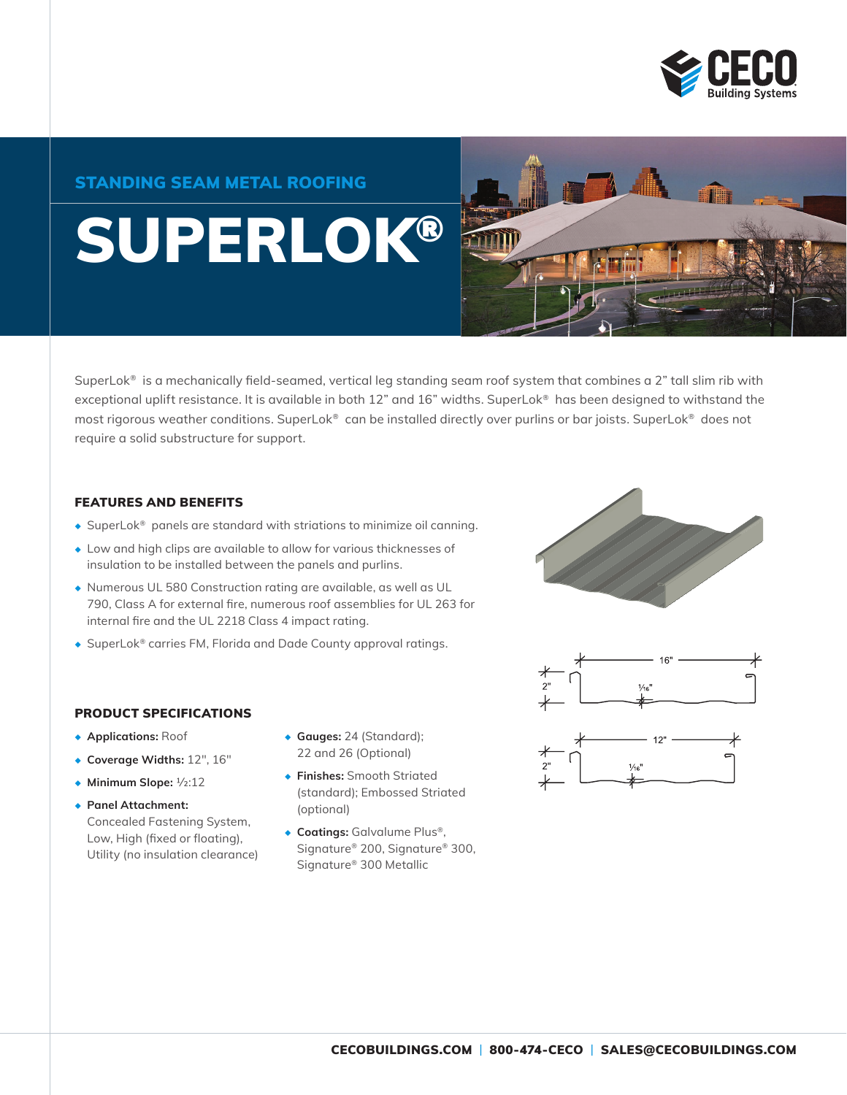

### STANDING SEAM METAL ROOFING

# SUPERLOK®



SuperLok® is a mechanically field-seamed, vertical leg standing seam roof system that combines a 2" tall slim rib with exceptional uplift resistance. It is available in both 12" and 16" widths. SuperLok® has been designed to withstand the most rigorous weather conditions. SuperLok® can be installed directly over purlins or bar joists. SuperLok® does not require a solid substructure for support.

#### FEATURES AND BENEFITS

- ◆ SuperLok® panels are standard with striations to minimize oil canning.
- ◆ Low and high clips are available to allow for various thicknesses of insulation to be installed between the panels and purlins.
- ◆ Numerous UL 580 Construction rating are available, as well as UL 790, Class A for external fire, numerous roof assemblies for UL 263 for internal fire and the UL 2218 Class 4 impact rating.
- ◆ SuperLok® carries FM, Florida and Dade County approval ratings.





#### PRODUCT SPECIFICATIONS

- ◆ **Applications:** Roof
- ◆ **Coverage Widths:** 12", 16"
- ◆ **Minimum Slope:** 1/2:12
- ◆ **Panel Attachment:** Concealed Fastening System, Low, High (fixed or floating), Utility (no insulation clearance)
- ◆ **Gauges:** 24 (Standard); 22 and 26 (Optional)
- ◆ **Finishes:** Smooth Striated (standard); Embossed Striated (optional)
- ◆ **Coatings:** Galvalume Plus®, Signature® 200, Signature® 300, Signature® 300 Metallic